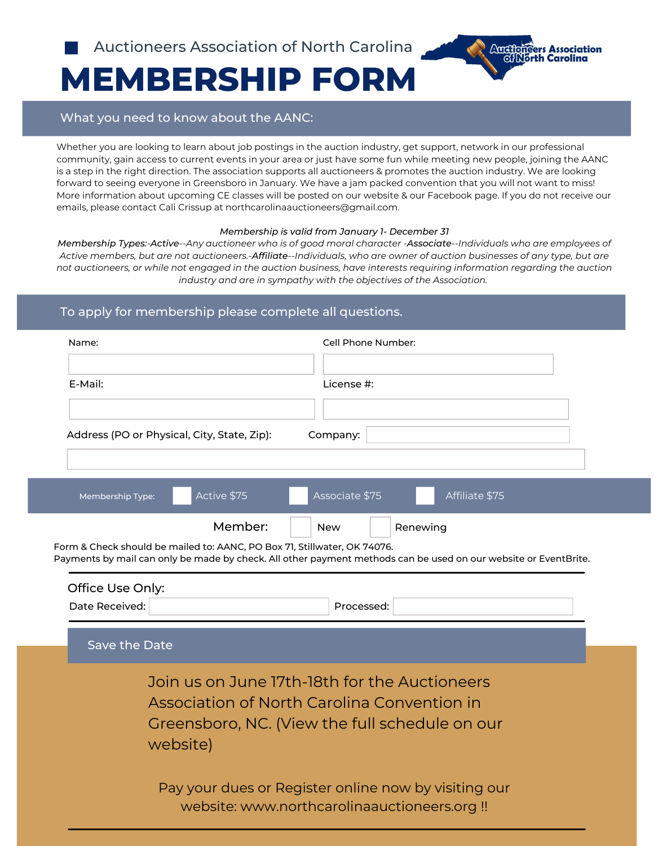

# **MEMBERSHIP FORM**

## What you need to know about the AANC:

Whether you are looking to learn about job postings in the auction industry, get support, network in our professional community, gain access to current events in your area or just have some fun while meeting new people, joining the AANC is a step in the right direction. The association supports all auctioneers & promotes the auction industry. We are looking forward to seeing everyone in Greensboro in January. We have a jam packed convention that you will not want to miss! More information about upcoming CE classes will be posted on our website & our Facebook page. If you do not receive our emails, please contact Cali Crissup at northcarolinaauctioneers@gmail.com.

#### *Membership is valid from January 1- December 31*

Membership Types:-Active--Any auctioneer who is of good moral character -Associate--Individuals who are employees of Active members, but are not auctioneers.-Affiliate--Individuals, who are owner of auction businesses of any type, but are not auctioneers, or while not engaged in the auction business, have interests requiring information regarding the auction *industry and are in sympathy with the objectives of the Association.*

# To apply for membership please complete all questions.

| Name:                                                                    | Cell Phone Number:                                                                                              |
|--------------------------------------------------------------------------|-----------------------------------------------------------------------------------------------------------------|
| E-Mail:                                                                  | License #:                                                                                                      |
| Address (PO or Physical, City, State, Zip):                              | Company:                                                                                                        |
| Active \$75<br>Membership Type:                                          | Associate \$75<br>Affiliate \$75                                                                                |
| Member:                                                                  | Renewing<br><b>New</b>                                                                                          |
| Form & Check should be mailed to: AANC, PO Box 71, Stillwater, OK 74076. | Payments by mail can only be made by check. All other payment methods can be used on our website or EventBrite. |

| Office Use Only:<br>Date Received:                                                                                                                         | Processed:                                                                                         |  |  |
|------------------------------------------------------------------------------------------------------------------------------------------------------------|----------------------------------------------------------------------------------------------------|--|--|
| Save the Date                                                                                                                                              |                                                                                                    |  |  |
| Join us on June 17th-18th for the Auctioneers<br>Association of North Carolina Convention in<br>Greensboro, NC. (View the full schedule on our<br>website) |                                                                                                    |  |  |
|                                                                                                                                                            | Pay your dues or Register online now by visiting our<br>website: www.northcarolinaauctioneers.org! |  |  |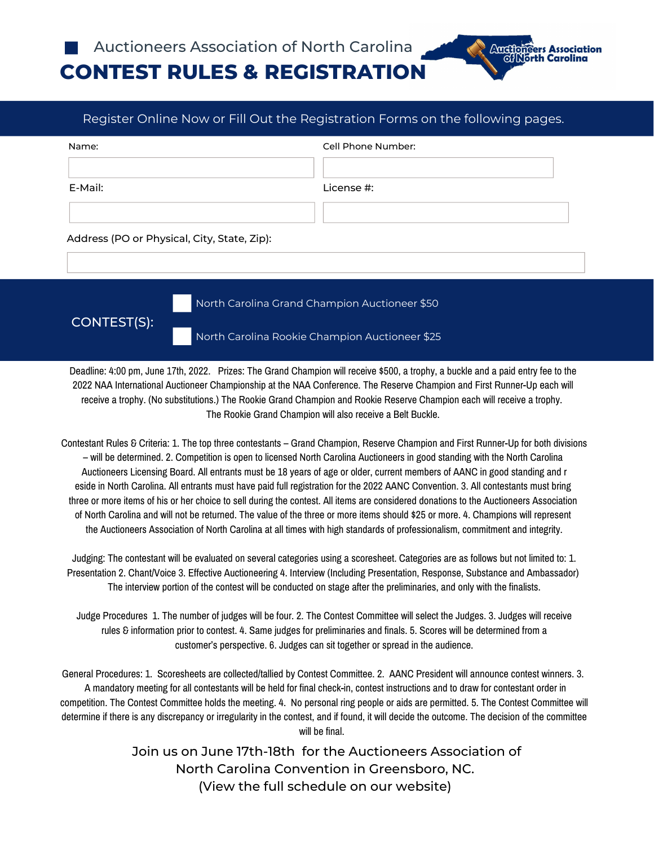

Auctioneers Association

| Name:                                       | Cell Phone Number: |
|---------------------------------------------|--------------------|
|                                             |                    |
| E-Mail:                                     | License #:         |
|                                             |                    |
| Address (PO or Physical, City, State, Zip): |                    |

CONTEST(S):

North Carolina Grand Champion Auctioneer \$50

North Carolina Rookie Champion Auctioneer \$25

Deadline: 4:00 pm, June 17th, 2022. Prizes: The Grand Champion will receive \$500, a trophy, a buckle and a paid entry fee to the 2022 NAA International Auctioneer Championship at the NAA Conference. The Reserve Champion and First Runner-Up each will receive a trophy. (No substitutions.) The Rookie Grand Champion and Rookie Reserve Champion each will receive a trophy. The Rookie Grand Champion will also receive a Belt Buckle.

Contestant Rules & Criteria: 1. The top three contestants – Grand Champion, Reserve Champion and First Runner-Up for both divisions – will be determined. 2. Competition is open to licensed North Carolina Auctioneers in good standing with the North Carolina Auctioneers Licensing Board. All entrants must be 18 years of age or older, current members of AANC in good standing and r eside in North Carolina. All entrants must have paid full registration for the 2022 AANC Convention. 3. All contestants must bring three or more items of his or her choice to sell during the contest. All items are considered donations to the Auctioneers Association of North Carolina and will not be returned. The value of the three or more items should \$25 or more. 4. Champions will represent the Auctioneers Association of North Carolina at all times with high standards of professionalism, commitment and integrity.

Judging: The contestant will be evaluated on several categories using a scoresheet. Categories are as follows but not limited to: 1. Presentation 2. Chant/Voice 3. Effective Auctioneering 4. Interview (Including Presentation, Response, Substance and Ambassador) The interview portion of the contest will be conducted on stage after the preliminaries, and only with the finalists.

Judge Procedures 1. The number of judges will be four. 2. The Contest Committee will select the Judges. 3. Judges will receive rules & information prior to contest. 4. Same judges for preliminaries and finals. 5. Scores will be determined from a customer's perspective. 6. Judges can sit together or spread in the audience.

General Procedures: 1. Scoresheets are collected/tallied by Contest Committee. 2. AANC President will announce contest winners. 3. A mandatory meeting for all contestants will be held for final check-in, contest instructions and to draw for contestant order in competition. The Contest Committee holds the meeting. 4. No personal ring people or aids are permitted. 5. The Contest Committee will determine if there is any discrepancy or irregularity in the contest, and if found, it will decide the outcome. The decision of the committee will be final.

> Join us on June 17th-18th for the Auctioneers Association of North Carolina Convention in Greensboro, NC. (View the full schedule on our website)